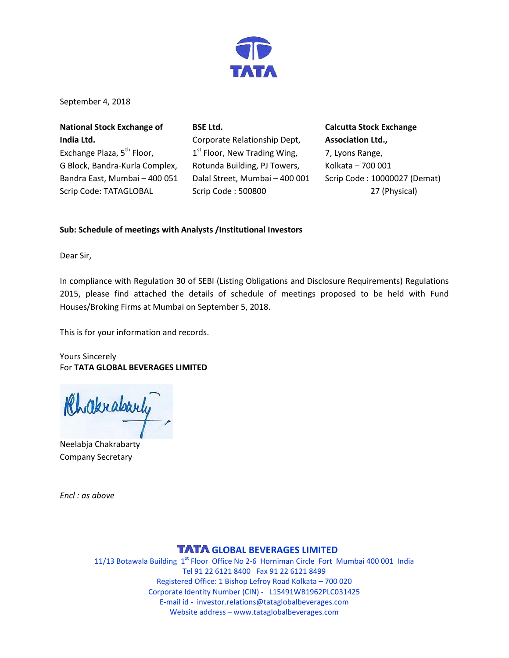

September 4, 2018

| <b>National Stock Exchange of</b>      | <b>BSE Ltd.</b>                          |
|----------------------------------------|------------------------------------------|
| India Ltd.                             | Corporate Relationship Dept,             |
| Exchange Plaza, 5 <sup>th</sup> Floor, | 1 <sup>st</sup> Floor, New Trading Wing, |
| G Block, Bandra-Kurla Complex,         | Rotunda Building, PJ Towers,             |
| Bandra East, Mumbai - 400 051          | Dalal Street, Mumbai - 400 001           |
| Scrip Code: TATAGLOBAL                 | Scrip Code: 500800                       |

**Calcutta Stock Exchange Association Ltd.,** 7, Lyons Range, Kolkata – 700 001 Scrip Code : 10000027 (Demat) 27 (Physical)

## **Sub: Schedule of meetings with Analysts /Institutional Investors**

Dear Sir,

In compliance with Regulation 30 of SEBI (Listing Obligations and Disclosure Requirements) Regulations 2015, please find attached the details of schedule of meetings proposed to be held with Fund Houses/Broking Firms at Mumbai on September 5, 2018.

This is for your information and records.

Yours Sincerely For **TATA GLOBAL BEVERAGES LIMITED**

Khakrabarty

Neelabja Chakrabarty Company Secretary

*Encl : as above*

## **TATA GLOBAL BEVERAGES LIMITED**

11/13 Botawala Building  $1<sup>st</sup>$  Floor Office No 2-6 Horniman Circle Fort Mumbai 400 001 India Tel 91 22 6121 8400 Fax 91 22 6121 8499 Registered Office: 1 Bishop Lefroy Road Kolkata – 700 020 Corporate Identity Number (CIN) - L15491WB1962PLC031425 E-mail id - [investor.relations@tataglobalbeverages.com](mailto:investor.relations@tataglobalbeverages.com) Website address – [www.tataglobalbeverages.com](http://www.tataglobalbeverages.com/)